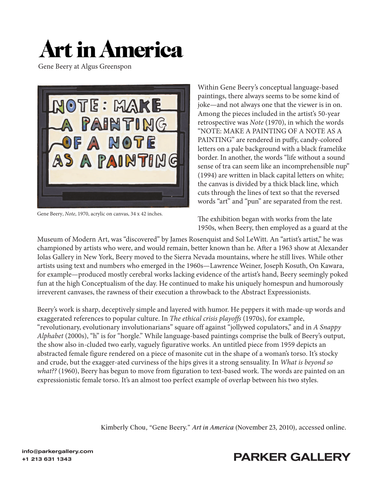## **Art in America**

Gene Beery at Algus Greenspon



Gene Beery, *Note*, 1970, acrylic on canvas, 34 x 42 inches.

Within Gene Beery's conceptual language-based paintings, there always seems to be some kind of joke—and not always one that the viewer is in on. Among the pieces included in the artist's 50-year retrospective was *Note* (1970), in which the words "NOTE: MAKE A PAINTING OF A NOTE AS A PAINTING" are rendered in puffy, candy-colored letters on a pale background with a black framelike border. In another, the words "life without a sound sense of tra can seem like an incomprehensible nup" (1994) are written in black capital letters on white; the canvas is divided by a thick black line, which cuts through the lines of text so that the reversed words "art" and "pun" are separated from the rest.

The exhibition began with works from the late 1950s, when Beery, then employed as a guard at the

Museum of Modern Art, was "discovered" by James Rosenquist and Sol LeWitt. An "artist's artist," he was championed by artists who were, and would remain, better known than he. After a 1963 show at Alexander Iolas Gallery in New York, Beery moved to the Sierra Nevada mountains, where he still lives. While other artists using text and numbers who emerged in the 1960s—Lawrence Weiner, Joseph Kosuth, On Kawara, for example—produced mostly cerebral works lacking evidence of the artist's hand, Beery seemingly poked fun at the high Conceptualism of the day. He continued to make his uniquely homespun and humorously irreverent canvases, the rawness of their execution a throwback to the Abstract Expressionists.

Beery's work is sharp, deceptively simple and layered with humor. He peppers it with made-up words and exaggerated references to popular culture. In *The ethical crisis playoffs* (1970s), for example, "revolutionary, evolutionary involutionarians" square off against "jollywed copulators," and in *A Snappy Alphabet* (2000s), "h" is for "horgle." While language-based paintings comprise the bulk of Beery's output, the show also in-cluded two early, vaguely figurative works. An untitled piece from 1959 depicts an abstracted female figure rendered on a piece of masonite cut in the shape of a woman's torso. It's stocky and crude, but the exagger-ated curviness of the hips gives it a strong sensuality. In *What is beyond so what??* (1960), Beery has begun to move from figuration to text-based work. The words are painted on an expressionistic female torso. It's an almost too perfect example of overlap between his two styles.

Kimberly Chou, "Gene Beery." *Art in America* [\(November 23, 2010\), accessed online.](https://www.artnews.com/art-in-america/aia-reviews/gene-beery-60743/)



## +1 213 631 1343<br>+1 213 631 1343